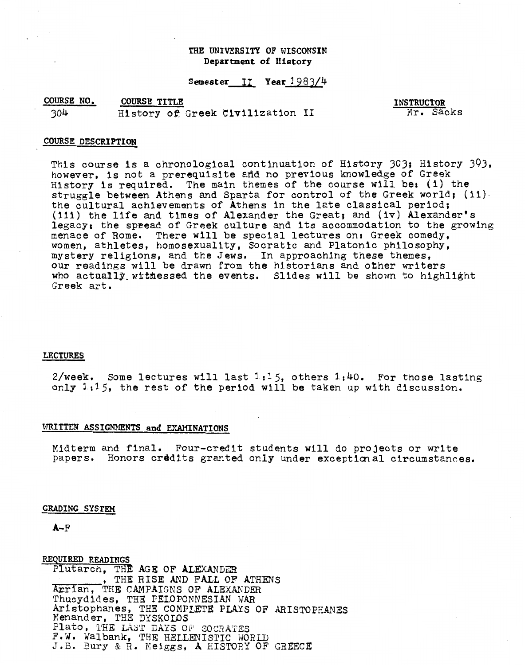# THE UNIVERSITY OF WISCONSIN Department of History

Semester II Year 1983/4

COURSE NO. **COURSE TITLE** 304 History of Greek Civilization II

**INSTRUCTOR** Mr. Sacks

## **COURSE DESCRIPTION**

This course is a chronological continuation of History 303; History 393, however, is not a prerequisite and no previous knowledge of Greek History is required. The main themes of the course will be: (i) the struggle between Athens and Sparta for control of the Greek world; (11). the cultural achievements of Athens in the late classical period; (111) the life and times of Alexander the Great; and (iv) Alexander's legacy: the spread of Greek culture and its accommodation to the growing menace of Rome. There will be special lectures on: Greek comedy, women, athletes, homosexuality, Socratic and Platonic philosophy, mystery religions, and the Jews. In approaching these themes, our readings will be drawn from the historians and other writers who actually withessed the events. Slides will be shown to highlight Greek art.

### **LECTURES**

2/week. Some lectures will last  $1:15$ , others  $1:40$ . For those lasting only 1.15, the rest of the period will be taken up with discussion.

## WRITTEN ASSIGNMENTS and EXAMINATIONS

Midterm and final. Four-credit students will do projects or write papers. Honors credits granted only under exceptional circumstances.

#### GRADING SYSTEM

 $A-F$ 

REQUIRED READINGS Plutarch, THE AGE OF ALEXANDER . THE RISE AND FALL OF ATHENS Arrian, THE CAMPAIGNS OF ALEXANDER Thucydides, THE PELOPONNESIAN WAR Aristophanes, THE COMPLETE PLAYS OF ARISTOPHANES Menander, THE DYSKOLOS Plato, THE LAST DAYS OF SOCRATES F.W. Walbank, THE HELLENISTIC WORLD J.B. Bury & R. Meiggs, A HISTORY OF GREECE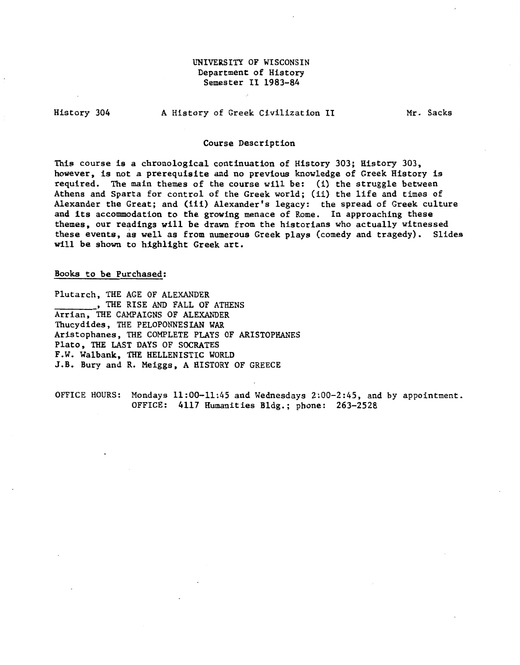# UNIVERSITY OF WISCONSIN Department of History Semester II 1983-84

History 304

A History of Greek Civilization II

Mr. Sacks

## Course Description

This course is a chronological continuation of History 303; History 303, however, is not a prerequisite and no previous knowledge of Greek History is required. The main themes of the course will be: (i) the struggle between Athens and Sparta for control of the Greek world; (ii) the life and times of Alexander the Great; and (iii) Alexander's legacy: the spread of Greek culture and its accommodation to the growing menace of Rome. In approaching these themes, our readings will be drawn from the historians who actually witnessed these events, as well as from numerous Greek plays (comedy and tragedy). Slides will be shown to highlight Greek art.

Books to be Purchased:

Plutarch, THE AGE OF ALEXANDER THE RISE AND FALL OF ATHENS Arrian, THE CAMPAIGNS OF ALEXANDER Thucydides, THE PELOPONNESIAN WAR Aristophanes, THE COMPLETE PLAYS OF ARISTOPHANES Plato, THE LAST DAYS OF SOCRATES F.W. Walbank, THE HELLENISTIC WORLD J.B. Bury and R. Meiggs, A HISTORY OF GREECE

OFFICE HOURS: Mondays 11:00-11:45 and Wednesdays 2:00-2:45, and by appointment. OFFICE: 4117 Humanities Bldg.; phone: 263-2528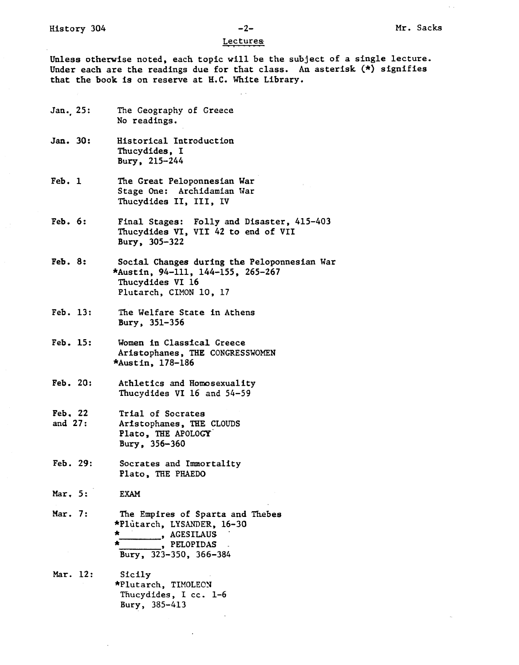### Lectures

Unless otherwise noted, each topic will be the subject of a single lecture. Under each are the readings due for that class. An asterisk (\*} signifies that the book is on reserve at H.C. White Library.

- Jan.<sub>25:</sub> The Geography of Greece No readings.
- Jan. 30: Historical Introduction Thucydides, I Bury, 215-244
- Feb. 1 The Great Peloponnesian War Stage One: Archidamian War Thucydides II, III, IV
- Feb. 6: Final Stages: Folly and Disaster, 415-403 Thucydides VI, VII 42 to end of VII Bury, 305-322
- Feb. 8: Social Changes during the Peloponnesian War \*Austin, 94-111, 144-155, 265-267 Thucydides VI 16 Plutarch, CIMON 10, 17
- Feb. 13: The Welfare State in Athens Bury, 351-356
- Feb. 15: Women in Classical Greece Aristophanes, THE CONGRESSWOMEN \*Austin, 178-186
- Feb. 20: Athletics and Homosexuality Thucydides VI 16 and 54-59
- Feb. 22 and 27: Trial of Socrates Aristophanes, THE CLOUDS Plato, THE APOLOGY. Bury, 356-360
- Feb. 29: Socrates and Immortality Plato, THE PHAEDO
- Mar. 5: EXAM

Mar. 7: The Empires of Sparta and Thebes \*Plutarch, LYSANDER, 16-30  $\frac{*}{*}$ , AGESILAUS , PELOPIDAS Bury, 323-350, 366-384

Mar. 12: Sicily \*Plutarch, TIMOLEON Tfiucydides, I cc. 1-6 Bury, 385-413